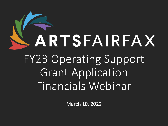# ARTSFAIRFAX FY23 Operating Support Grant Application Financials Webinar

March 10, 2022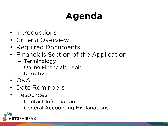# **Agenda**

- Introductions
- Criteria Overview
- Required Documents
- Financials Section of the Application
	- Terminology
	- Online Financials Table
	- Narrative
- Q&A
- Date Reminders
- Resources
	- Contact Information
	- General Accounting Explanations

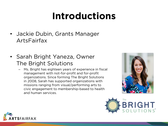# **Introductions**

- Jackie Dubin, Grants Manager ArtsFairfax
- Sarah Bright Yaneza, Owner The Bright Solutions
	- Ms. Bright has eighteen years of experience in fiscal management with not-for-profit and for-profit organizations. Since forming The Bright Solutions in 2008, Sarah has supported organizations with missions ranging from visual/performing arts to civic engagement to membership-based to health and human services.





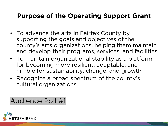### **Purpose of the Operating Support Grant**

- To advance the arts in Fairfax County by supporting the goals and objectives of the county's arts organizations, helping them maintain and develop their programs, services, and facilities
- To maintain organizational stability as a platform for becoming more resilient, adaptable, and nimble for sustainability, change, and growth
- Recognize a broad spectrum of the county's cultural organizations

Audience Poll #1

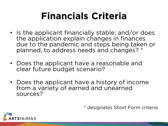# **Financials Criteria**

- Is the applicant financially stable; and/or does the application explain changes in finances due to the pandemic and steps being taken or planned, to address needs and changes? \*
- Does the applicant have a reasonable and clear future budget scenario?
- Does the applicant have a history of income from a variety of earned and unearned sources?

\* designates Short Form criteria

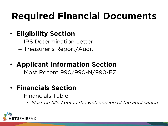# **Required Financial Documents**

### • **Eligibility Section**

- IRS Determination Letter
- Treasurer's Report/Audit

### • **Applicant Information Section**

– Most Recent 990/990-N/990-EZ

### • **Financials Section**

- Financials Table
	- Must be filled out in the web version of the application

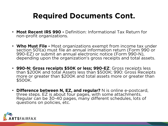### **Required Documents Cont.**

- **Most Recent IRS 990 -** Definition: Informational Tax Return for non-profit organizations.
- **Who Must File -** Most organizations exempt from income tax under section 501(a) must file an annual information return (Form 990 or 990-EZ) or submit an annual electronic notice (Form 990-N), depending upon the organization's gross receipts and total assets.
- **990-N: Gross receipts \$50K or less; 990-EZ**: Gross receipts less than \$200K and total Assets less than \$500K; 990: Gross Receipts more or greater than \$200K and total assets more or greater than \$500K.
- **Difference between N, EZ, and regular?** N is online e-postcard, three steps. EZ is about four pages, with some attachments. Regular can be 30-40 pages, many different schedules, lots of questions on policies, etc.

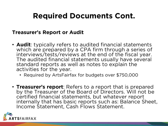### **Required Documents Cont.**

#### **Treasurer's Report or Audit**

- **Audit**: typically refers to audited financial statements which are prepared by a CPA firm through a series of interviews/tests/reviews at the end of the fiscal year. The audited financial statements usually have several standard reports as well as notes to explain the activities for the year.
	- Required by ArtsFairfax for budgets over \$750,000
- **Treasurer's report**: Refers to a report that is prepared by the Treasurer of the Board of Directors. Will not be certified financial statements, but whatever report internally that has basic reports such as: Balance Sheet, Income Statement, Cash Flows Statement.

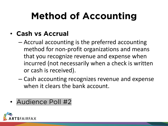# **Method of Accounting**

### • **Cash vs Accrual**

- Accrual accounting is the preferred accounting method for non-profit organizations and means that you recognize revenue and expense when incurred (not necessarily when a check is written or cash is received).
- Cash accounting recognizes revenue and expense when it clears the bank account.

### • Audience Poll #2

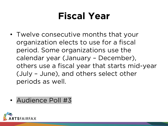# **Fiscal Year**

- Twelve consecutive months that your organization elects to use for a fiscal period. Some organizations use the calendar year (January – December), others use a fiscal year that starts mid-year (July – June), and others select other periods as well.
- Audience Poll #3

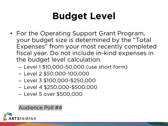# **Budget Level**

- For the Operating Support Grant Program, your budget size is determined by the "Total Expenses" from your most recently completed fiscal year. Do not include in-kind expenses in the budget level calculation.
	- Level 1 \$10,000-50,000 (use short form)
	- Level 2 \$50,000-100,000
	- Level 3 \$100,000-\$250,000
	- Level 4 \$250,000-\$500,000
	- Level 5 over \$500,000

#### Audience Poll #4

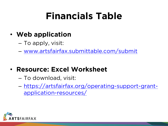# **Financials Table**

- **Web application**
	- To apply, visit:
	- [www.artsfairfax.submittable.com/submit](http://www.artsfairfax.submittable.com/submit)
- **Resource: Excel Worksheet**
	- To download, visit:
	- [https://artsfairfax.org/operating-support-grant](https://artsfairfax.org/operating-support-grant-application-resources/)application-resources/

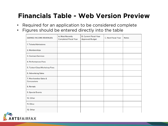### **Financials Table - Web Version Preview**

- Required for an application to be considered complete
- Figures should be entered directly into the table

| <b>EARNED INCOME REVENUES</b>         | A. Most Recently<br><b>Completed Fiscal Year</b> | <b>B. Current Fiscal Year</b><br><b>Approved Budget</b> | C. Next Fiscal Year | <b>Notes</b> |
|---------------------------------------|--------------------------------------------------|---------------------------------------------------------|---------------------|--------------|
| 1. Tickets/Admissions                 |                                                  |                                                         |                     |              |
| 2. Memberships                        |                                                  |                                                         |                     |              |
| 3. Contract Services                  |                                                  |                                                         |                     |              |
| 4. Performances Fees                  |                                                  |                                                         |                     |              |
| 5. Tuition/Class/Workshop Fees        |                                                  |                                                         |                     |              |
| 6. Advertising Sales                  |                                                  |                                                         |                     |              |
| 7. Merchandise Sales &<br>Concessions |                                                  |                                                         |                     |              |
| 8. Rentals                            |                                                  |                                                         |                     |              |
| 9. Special Events                     |                                                  |                                                         |                     |              |
| 10. Other                             |                                                  |                                                         |                     |              |
| 11. Other                             |                                                  |                                                         |                     |              |
| 12. Other                             |                                                  |                                                         |                     |              |

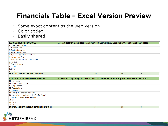### **Financials Table – Excel Version Preview**

- Same exact content as the web version
- Color coded
- Easily shared

| <b>EARNED INCOME REVENUES</b>          | A. Most Recently Completed Fiscal Year B. Current Fiscal Year Approv C. Next Fiscal Year Notes |     |     |  |
|----------------------------------------|------------------------------------------------------------------------------------------------|-----|-----|--|
| 1. Tickets/Admissions                  |                                                                                                |     |     |  |
| 2. Memberships                         |                                                                                                |     |     |  |
| 3. Contract Services                   |                                                                                                |     |     |  |
| 4. Performances Fees                   |                                                                                                |     |     |  |
| 5. Tuition/Class/Workshop Fees         |                                                                                                |     |     |  |
| 6. Advertising Sales                   |                                                                                                |     |     |  |
| 7. Merchandise Sales & Concessions     |                                                                                                |     |     |  |
| 8. Rentals                             |                                                                                                |     |     |  |
| 9. Special Events                      |                                                                                                |     |     |  |
| 10. Other                              |                                                                                                |     |     |  |
| 11. Other                              |                                                                                                |     |     |  |
| 12. Other                              |                                                                                                |     |     |  |
| <b>SUBTOTAL EARNED INCOME REVENUES</b> | \$0                                                                                            | \$0 | \$0 |  |
|                                        |                                                                                                |     |     |  |

| <b>CONTRIBUTED/UNEARNED REVENUES</b>             | A. Most Recently Completed Fiscal Year | B. Current Fiscal Year Approv C. Next Fiscal Year Notes |     |  |
|--------------------------------------------------|----------------------------------------|---------------------------------------------------------|-----|--|
| 13. Individuals                                  |                                        |                                                         |     |  |
| 14. Board Contributions                          |                                        |                                                         |     |  |
| 15. Corporations                                 |                                        |                                                         |     |  |
| 16. Foundations                                  |                                        |                                                         |     |  |
| 17. Federal                                      |                                        |                                                         |     |  |
| 18. State (VCA and/or line item)                 |                                        |                                                         |     |  |
| 19. Local (Not including this ArtsFairfax Grant) |                                        |                                                         |     |  |
| 20. Interest & Investment Income                 |                                        |                                                         |     |  |
| <b>21. Other</b>                                 |                                        |                                                         |     |  |
| 22. Other                                        |                                        |                                                         |     |  |
| 23. Other                                        |                                        |                                                         |     |  |
| <b>SUBTOTAL CONTRIBUTED/UNEARNED REVENUES</b>    | \$0                                    | \$0                                                     | \$0 |  |
|                                                  |                                        |                                                         |     |  |

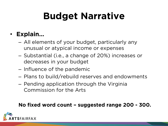# **Budget Narrative**

### • **Explain…**

- All elements of your budget, particularly any unusual or atypical income or expenses
- Substantial (i.e., a change of 20%) increases or decreases in your budget
- Influence of the pandemic
- Plans to build/rebuild reserves and endowments
- Pending application through the Virginia Commission for the Arts

#### **No fixed word count – suggested range 200 - 300.**

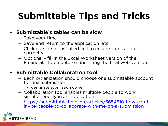# **Submittable Tips and Tricks**

#### • **Submittable's tables can be slow**

- Take your time
- Save and return to the application later
- Click outside of last filled cell to ensure sums add up correctly
- Optional fill in the Excel Worksheet version of the Financials Table before submitting the final web version|

#### • **Submittable Collaboration tool**

- Each organization should choose one submittable account for final submission
	- designate submission owner
- Collaboration tool enables multiple people to work simultaneously in an application
- [https://submittable.help/en/articles/3654810-how-can-i-](https://submittable.help/en/articles/3654810-how-can-i-invite-people-to-collaborate-with-me-on-a-submission) invite-people-to-collaborate-with-me-on-a-submission

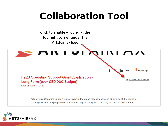# **Collaboration Tool**



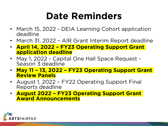# **Date Reminders**

- March 15, 2022 DEIA Learning Cohort application deadline
- March 31, 2022 AIR Grant Interim Report deadline
- **April 14, 2022 – FY23 Operating Support Grant application deadline**
- May 1, 2022 Capital One Hall Space Request Season 3 deadline
- **May 11 – 13, 2022 – FY23 Operating Support Grant Review Panels**
- August 1, 2022 FY22 Operating Support Final Reports deadline
- **August 2022 – FY23 Operating Support Grant Award Announcements**

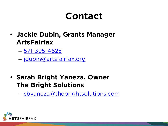### **Contact**

- **Jackie Dubin, Grants Manager ArtsFairfax**
	- [571-395-4625](tel:571-395-4625)

– [jdubin@artsfairfax.org](mailto:jdubin@artsfairfax.org)

• **Sarah Bright Yaneza, Owner The Bright Solutions**

– [sbyaneza@thebrightsolutions.com](mailto:sbyaneza@thebrightsolutions.com)

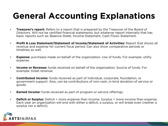### **General Accounting Explanations**

- **Treasurer's report:** Refers to a report that is prepared by the Treasurer of the Board of Directors. Will not be certified financial statements, but whatever report internally that has basic reports such as: Balance Sheet, Income Statement, Cash Flows Statement.
- **Profit & Loss Statement/Statement of Income/Statement of Activities:** Report that shows all revenue and expense for current fiscal period. Can also show comparative periods or timelines as well.
- **Expense:** purchases made on behalf of the organization. Use of funds. For example: utility expense.
- **Income or Revenue:** funds received on behalf of the organization. Source of funds. For example: ticket revenue.
- **Contributed Income:** funds received as part of individual, corporate, foundation, or government support. Also, can be contributions of non-cash, in-kind donation of service or goods.
- **Earned Income:** funds received as part of program or service offerings.
- **Deficit or Surplus:** Deficit = more expense than income. Surplus = more income than expense. Each year an organization will end with either a deficit, a surplus, or will break even (neither a surplus nor a deficit).